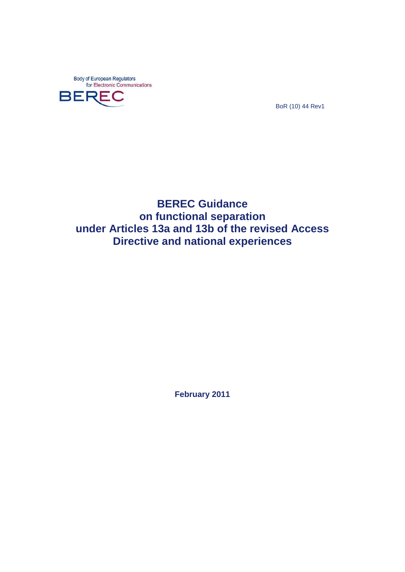Body of European Regulators<br>for Electronic Communications



BoR (10) 44 Rev1

**BEREC Guidance on functional separation under Articles 13a and 13b of the revised Access Directive and national experiences**

**February 2011**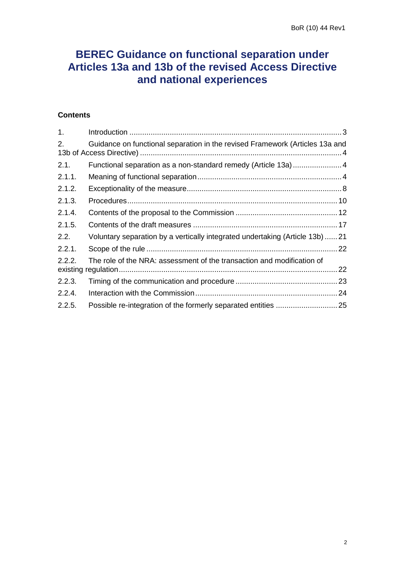# **BEREC Guidance on functional separation under Articles 13a and 13b of the revised Access Directive and national experiences**

# **Contents**

| 1 <sub>1</sub> |                                                                               |    |
|----------------|-------------------------------------------------------------------------------|----|
| 2.             | Guidance on functional separation in the revised Framework (Articles 13a and  |    |
| 2.1.           | Functional separation as a non-standard remedy (Article 13a) 4                |    |
| 2.1.1.         |                                                                               |    |
| 2.1.2.         |                                                                               |    |
| 2.1.3.         |                                                                               |    |
| 2.1.4.         |                                                                               |    |
| 2.1.5.         |                                                                               |    |
| 2.2.           | Voluntary separation by a vertically integrated undertaking (Article 13b)  21 |    |
| 2.2.1.         |                                                                               |    |
| 2.2.2.         | The role of the NRA: assessment of the transaction and modification of        | 22 |
| 2.2.3.         |                                                                               | 23 |
| 2.2.4.         |                                                                               |    |
| 2.2.5.         |                                                                               |    |
|                |                                                                               |    |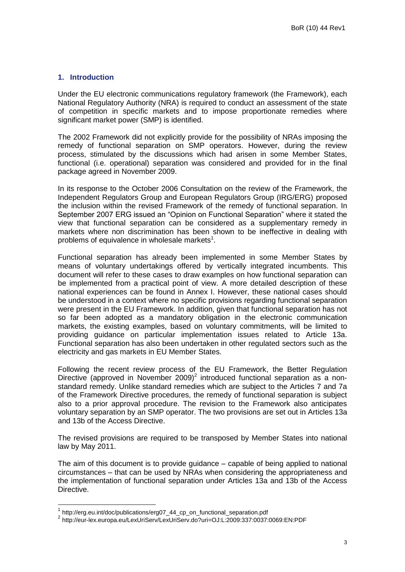#### <span id="page-2-0"></span>**1. Introduction**

Under the EU electronic communications regulatory framework (the Framework), each National Regulatory Authority (NRA) is required to conduct an assessment of the state of competition in specific markets and to impose proportionate remedies where significant market power (SMP) is identified.

The 2002 Framework did not explicitly provide for the possibility of NRAs imposing the remedy of functional separation on SMP operators. However, during the review process, stimulated by the discussions which had arisen in some Member States, functional (i.e. operational) separation was considered and provided for in the final package agreed in November 2009.

In its response to the October 2006 Consultation on the review of the Framework, the Independent Regulators Group and European Regulators Group (IRG/ERG) proposed the inclusion within the revised Framework of the remedy of functional separation. In September 2007 ERG issued an "Opinion on Functional Separation" where it stated the view that functional separation can be considered as a supplementary remedy in markets where non discrimination has been shown to be ineffective in dealing with problems of equivalence in wholesale markets<sup>1</sup>.

Functional separation has already been implemented in some Member States by means of voluntary undertakings offered by vertically integrated incumbents. This document will refer to these cases to draw examples on how functional separation can be implemented from a practical point of view. A more detailed description of these national experiences can be found in Annex I. However, these national cases should be understood in a context where no specific provisions regarding functional separation were present in the EU Framework. In addition, given that functional separation has not so far been adopted as a mandatory obligation in the electronic communication markets, the existing examples, based on voluntary commitments, will be limited to providing guidance on particular implementation issues related to Article 13a. Functional separation has also been undertaken in other regulated sectors such as the electricity and gas markets in EU Member States.

Following the recent review process of the EU Framework, the Better Regulation Directive (approved in November 2009)<sup>2</sup> introduced functional separation as a nonstandard remedy. Unlike standard remedies which are subject to the Articles 7 and 7a of the Framework Directive procedures, the remedy of functional separation is subject also to a prior approval procedure. The revision to the Framework also anticipates voluntary separation by an SMP operator. The two provisions are set out in Articles 13a and 13b of the Access Directive.

The revised provisions are required to be transposed by Member States into national law by May 2011.

The aim of this document is to provide guidance – capable of being applied to national circumstances – that can be used by NRAs when considering the appropriateness and the implementation of functional separation under Articles 13a and 13b of the Access Directive.

1

<sup>&</sup>lt;sup>1</sup> http://erg.eu.int/doc/publications/erg07\_44\_cp\_on\_functional\_separation.pdf

<sup>2</sup> http://eur-lex.europa.eu/LexUriServ/LexUriServ.do?uri=OJ:L:2009:337:0037:0069:EN:PDF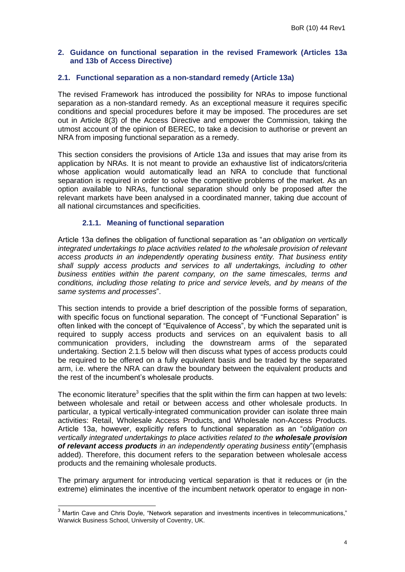## <span id="page-3-0"></span>**2. Guidance on functional separation in the revised Framework (Articles 13a and 13b of Access Directive)**

## <span id="page-3-1"></span>**2.1. Functional separation as a non-standard remedy (Article 13a)**

The revised Framework has introduced the possibility for NRAs to impose functional separation as a non-standard remedy. As an exceptional measure it requires specific conditions and special procedures before it may be imposed. The procedures are set out in Article 8(3) of the Access Directive and empower the Commission, taking the utmost account of the opinion of BEREC, to take a decision to authorise or prevent an NRA from imposing functional separation as a remedy.

This section considers the provisions of Article 13a and issues that may arise from its application by NRAs. It is not meant to provide an exhaustive list of indicators/criteria whose application would automatically lead an NRA to conclude that functional separation is required in order to solve the competitive problems of the market. As an option available to NRAs, functional separation should only be proposed after the relevant markets have been analysed in a coordinated manner, taking due account of all national circumstances and specificities.

# **2.1.1. Meaning of functional separation**

<span id="page-3-2"></span>Article 13a defines the obligation of functional separation as "*an obligation on vertically integrated undertakings to place activities related to the wholesale provision of relevant access products in an independently operating business entity. That business entity shall supply access products and services to all undertakings, including to other business entities within the parent company, on the same timescales, terms and conditions, including those relating to price and service levels, and by means of the same systems and processes*".

This section intends to provide a brief description of the possible forms of separation, with specific focus on functional separation. The concept of "Functional Separation" is often linked with the concept of "Equivalence of Access", by which the separated unit is required to supply access products and services on an equivalent basis to all communication providers, including the downstream arms of the separated undertaking. Section [2.1.5](#page-16-0) below will then discuss what types of access products could be required to be offered on a fully equivalent basis and be traded by the separated arm, i.e. where the NRA can draw the boundary between the equivalent products and the rest of the incumbent"s wholesale products.

The economic literature<sup>3</sup> specifies that the split within the firm can happen at two levels: between wholesale and retail or between access and other wholesale products. In particular, a typical vertically-integrated communication provider can isolate three main activities: Retail, Wholesale Access Products, and Wholesale non-Access Products. Article 13a, however, explicitly refers to functional separation as an "*obligation on vertically integrated undertakings to place activities related to the wholesale provision of relevant access products in an independently operating business entity*"(emphasis added). Therefore, this document refers to the separation between wholesale access products and the remaining wholesale products.

The primary argument for introducing vertical separation is that it reduces or (in the extreme) eliminates the incentive of the incumbent network operator to engage in non-

 $3$  Martin Cave and Chris Doyle, "Network separation and investments incentives in telecommunications," Warwick Business School, University of Coventry, UK.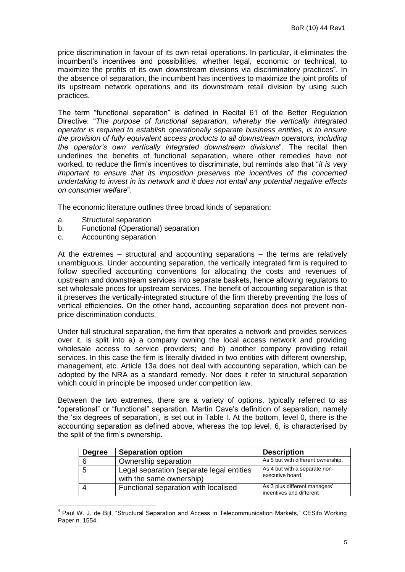price discrimination in favour of its own retail operations. In particular, it eliminates the incumbent"s incentives and possibilities, whether legal, economic or technical, to maximize the profits of its own downstream divisions via discriminatory practices<sup>4</sup>. In the absence of separation, the incumbent has incentives to maximize the joint profits of its upstream network operations and its downstream retail division by using such practices.

The term "functional separation" is defined in Recital 61 of the Better Regulation Directive: "*The purpose of functional separation, whereby the vertically integrated operator is required to establish operationally separate business entities, is to ensure the provision of fully equivalent access products to all downstream operators, including the operator's own vertically integrated downstream divisions*". The recital then underlines the benefits of functional separation, where other remedies have not worked, to reduce the firm"s incentives to discriminate, but reminds also that "*it is very important to ensure that its imposition preserves the incentives of the concerned undertaking to invest in its network and it does not entail any potential negative effects on consumer welfare*".

The economic literature outlines three broad kinds of separation:

a. Structural separation

 $\overline{\phantom{a}}$ 

- b. Functional (Operational) separation
- c. Accounting separation

At the extremes – structural and accounting separations – the terms are relatively unambiguous. Under accounting separation, the vertically integrated firm is required to follow specified accounting conventions for allocating the costs and revenues of upstream and downstream services into separate baskets, hence allowing regulators to set wholesale prices for upstream services. The benefit of accounting separation is that it preserves the vertically-integrated structure of the firm thereby preventing the loss of vertical efficiencies. On the other hand, accounting separation does not prevent nonprice discrimination conducts.

Under full structural separation, the firm that operates a network and provides services over it, is split into a) a company owning the local access network and providing wholesale access to service providers; and b) another company providing retail services. In this case the firm is literally divided in two entities with different ownership, management, etc. Article 13a does not deal with accounting separation, which can be adopted by the NRA as a standard remedy. Nor does it refer to structural separation which could in principle be imposed under competition law.

Between the two extremes, there are a variety of options, typically referred to as "operational" or "functional" separation. Martin Cave"s definition of separation, namely the "six degrees of separation", is set out in Table I. At the bottom, level 0, there is the accounting separation as defined above, whereas the top level, 6, is characterised by the split of the firm"s ownership.

| <b>Degree</b> | <b>Separation option</b>                                              | <b>Description</b>                                        |
|---------------|-----------------------------------------------------------------------|-----------------------------------------------------------|
| 6             | Ownership separation                                                  | As 5 but with different ownership.                        |
| b             | Legal separation (separate legal entities<br>with the same ownership) | As 4 but with a separate non-<br>executive board.         |
|               | Functional separation with localised                                  | As 3 plus different managers'<br>incentives and different |

<sup>&</sup>lt;sup>4</sup> Paul W. J. de Bijl, "Structural Separation and Access in Telecommunication Markets," CESifo Working Paper n. 1554.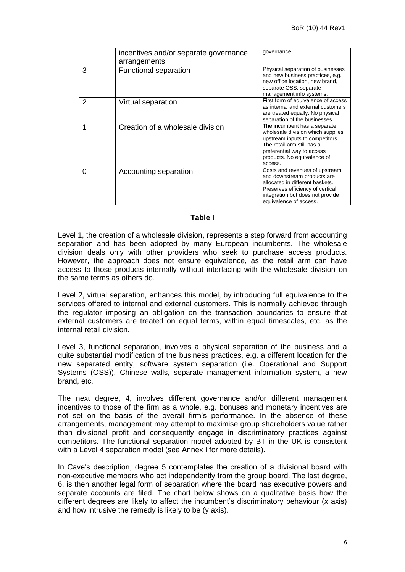|   | incentives and/or separate governance<br>arrangements | governance.                                                                                                                                                                                                |
|---|-------------------------------------------------------|------------------------------------------------------------------------------------------------------------------------------------------------------------------------------------------------------------|
| 3 | <b>Functional separation</b>                          | Physical separation of businesses<br>and new business practices, e.g.<br>new office location, new brand,<br>separate OSS, separate<br>management info systems.                                             |
| 2 | Virtual separation                                    | First form of equivalence of access<br>as internal and external customers<br>are treated equally. No physical<br>separation of the businesses.                                                             |
|   | Creation of a wholesale division                      | The incumbent has a separate<br>wholesale division which supplies<br>upstream inputs to competitors.<br>The retail arm still has a<br>preferential way to access<br>products. No equivalence of<br>access. |
| 0 | Accounting separation                                 | Costs and revenues of upstream<br>and downstream products are<br>allocated in different baskets.<br>Preserves efficiency of vertical<br>integration but does not provide<br>equivalence of access.         |

#### **Table I**

Level 1, the creation of a wholesale division, represents a step forward from accounting separation and has been adopted by many European incumbents. The wholesale division deals only with other providers who seek to purchase access products. However, the approach does not ensure equivalence, as the retail arm can have access to those products internally without interfacing with the wholesale division on the same terms as others do.

Level 2, virtual separation, enhances this model, by introducing full equivalence to the services offered to internal and external customers. This is normally achieved through the regulator imposing an obligation on the transaction boundaries to ensure that external customers are treated on equal terms, within equal timescales, etc. as the internal retail division.

Level 3, functional separation, involves a physical separation of the business and a quite substantial modification of the business practices, e.g. a different location for the new separated entity, software system separation (i.e. Operational and Support Systems (OSS)), Chinese walls, separate management information system, a new brand, etc.

The next degree, 4, involves different governance and/or different management incentives to those of the firm as a whole, e.g. bonuses and monetary incentives are not set on the basis of the overall firm"s performance. In the absence of these arrangements, management may attempt to maximise group shareholders value rather than divisional profit and consequently engage in discriminatory practices against competitors. The functional separation model adopted by BT in the UK is consistent with a Level 4 separation model (see Annex I for more details).

In Cave"s description, degree 5 contemplates the creation of a divisional board with non-executive members who act independently from the group board. The last degree, 6, is then another legal form of separation where the board has executive powers and separate accounts are filed. The chart below shows on a qualitative basis how the different degrees are likely to affect the incumbent"s discriminatory behaviour (x axis) and how intrusive the remedy is likely to be (y axis).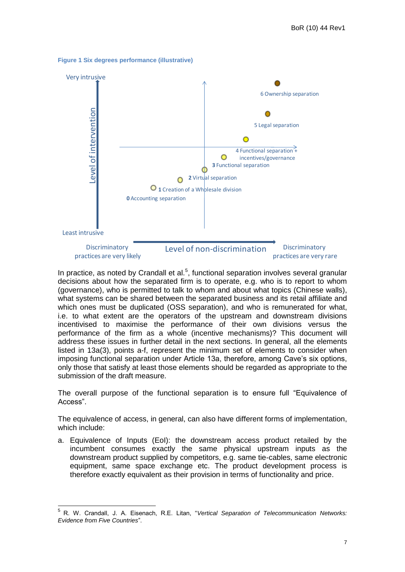



In practice, as noted by Crandall et al. $<sup>5</sup>$ , functional separation involves several granular</sup> decisions about how the separated firm is to operate, e.g. who is to report to whom (governance), who is permitted to talk to whom and about what topics (Chinese walls), what systems can be shared between the separated business and its retail affiliate and which ones must be duplicated (OSS separation), and who is remunerated for what, i.e. to what extent are the operators of the upstream and downstream divisions incentivised to maximise the performance of their own divisions versus the performance of the firm as a whole (incentive mechanisms)? This document will address these issues in further detail in the next sections. In general, all the elements listed in 13a(3), points a-f, represent the minimum set of elements to consider when imposing functional separation under Article 13a, therefore, among Cave's six options, only those that satisfy at least those elements should be regarded as appropriate to the submission of the draft measure.

The overall purpose of the functional separation is to ensure full "Equivalence of Access".

The equivalence of access, in general, can also have different forms of implementation, which include:

a. Equivalence of Inputs (EoI): the downstream access product retailed by the incumbent consumes exactly the same physical upstream inputs as the downstream product supplied by competitors, e.g. same tie-cables, same electronic equipment, same space exchange etc. The product development process is therefore exactly equivalent as their provision in terms of functionality and price.

 5 R. W. Crandall, J. A. Eisenach, R.E. Litan, "*Vertical Separation of Telecommunication Networks: Evidence from Five Countries*".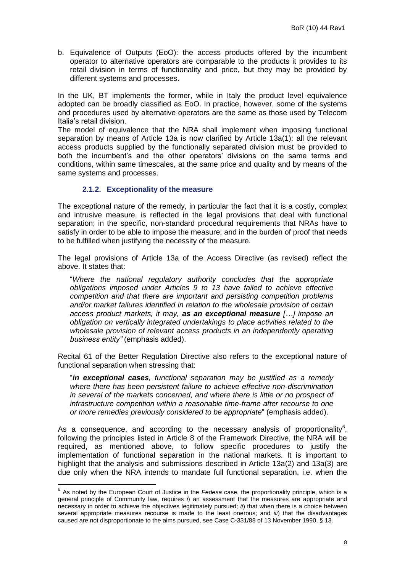b. Equivalence of Outputs (EoO): the access products offered by the incumbent operator to alternative operators are comparable to the products it provides to its retail division in terms of functionality and price, but they may be provided by different systems and processes.

In the UK, BT implements the former, while in Italy the product level equivalence adopted can be broadly classified as EoO. In practice, however, some of the systems and procedures used by alternative operators are the same as those used by Telecom Italia"s retail division.

The model of equivalence that the NRA shall implement when imposing functional separation by means of Article 13a is now clarified by Article 13a(1): all the relevant access products supplied by the functionally separated division must be provided to both the incumbent's and the other operators' divisions on the same terms and conditions, within same timescales, at the same price and quality and by means of the same systems and processes.

# **2.1.2. Exceptionality of the measure**

<span id="page-7-0"></span>The exceptional nature of the remedy, in particular the fact that it is a costly, complex and intrusive measure, is reflected in the legal provisions that deal with functional separation; in the specific, non-standard procedural requirements that NRAs have to satisfy in order to be able to impose the measure; and in the burden of proof that needs to be fulfilled when justifying the necessity of the measure.

The legal provisions of Article 13a of the Access Directive (as revised) reflect the above. It states that:

"*Where the national regulatory authority concludes that the appropriate obligations imposed under Articles 9 to 13 have failed to achieve effective competition and that there are important and persisting competition problems and/or market failures identified in relation to the wholesale provision of certain access product markets, it may, as an exceptional measure […] impose an obligation on vertically integrated undertakings to place activities related to the wholesale provision of relevant access products in an independently operating business entity"* (emphasis added).

Recital 61 of the Better Regulation Directive also refers to the exceptional nature of functional separation when stressing that:

"*in exceptional cases, functional separation may be justified as a remedy where there has been persistent failure to achieve effective non-discrimination in several of the markets concerned, and where there is little or no prospect of infrastructure competition within a reasonable time-frame after recourse to one or more remedies previously considered to be appropriate*" (emphasis added).

As a consequence, and according to the necessary analysis of proportionality<sup>6</sup>, following the principles listed in Article 8 of the Framework Directive, the NRA will be required, as mentioned above, to follow specific procedures to justify the implementation of functional separation in the national markets. It is important to highlight that the analysis and submissions described in Article 13a(2) and 13a(3) are due only when the NRA intends to mandate full functional separation, i.e. when the

 6 As noted by the European Court of Justice in the *Fedesa* case, the proportionality principle, which is a general principle of Community law, requires *i*) an assessment that the measures are appropriate and necessary in order to achieve the objectives legitimately pursued; *ii*) that when there is a choice between several appropriate measures recourse is made to the least onerous; and *iii*) that the disadvantages caused are not disproportionate to the aims pursued, see Case C-331/88 of 13 November 1990, § 13.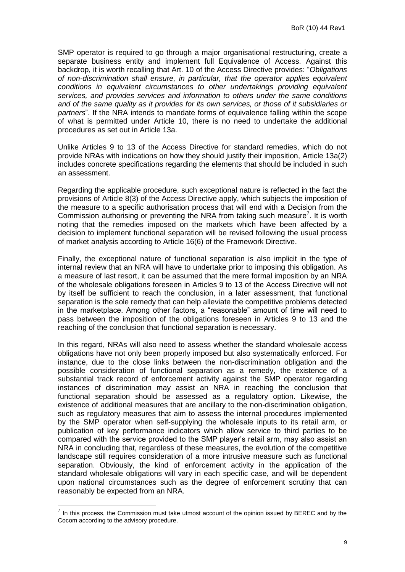SMP operator is required to go through a major organisational restructuring, create a separate business entity and implement full Equivalence of Access. Against this backdrop, it is worth recalling that Art. 10 of the Access Directive provides: "*Obligations of non-discrimination shall ensure, in particular, that the operator applies equivalent conditions in equivalent circumstances to other undertakings providing equivalent services, and provides services and information to others under the same conditions and of the same quality as it provides for its own services, or those of it subsidiaries or partners*". If the NRA intends to mandate forms of equivalence falling within the scope of what is permitted under Article 10, there is no need to undertake the additional procedures as set out in Article 13a.

Unlike Articles 9 to 13 of the Access Directive for standard remedies, which do not provide NRAs with indications on how they should justify their imposition, Article 13a(2) includes concrete specifications regarding the elements that should be included in such an assessment.

Regarding the applicable procedure, such exceptional nature is reflected in the fact the provisions of Article 8(3) of the Access Directive apply, which subjects the imposition of the measure to a specific authorisation process that will end with a Decision from the Commission authorising or preventing the NRA from taking such measure<sup>7</sup>. It is worth noting that the remedies imposed on the markets which have been affected by a decision to implement functional separation will be revised following the usual process of market analysis according to Article 16(6) of the Framework Directive.

Finally, the exceptional nature of functional separation is also implicit in the type of internal review that an NRA will have to undertake prior to imposing this obligation. As a measure of last resort, it can be assumed that the mere formal imposition by an NRA of the wholesale obligations foreseen in Articles 9 to 13 of the Access Directive will not by itself be sufficient to reach the conclusion, in a later assessment, that functional separation is the sole remedy that can help alleviate the competitive problems detected in the marketplace. Among other factors, a "reasonable" amount of time will need to pass between the imposition of the obligations foreseen in Articles 9 to 13 and the reaching of the conclusion that functional separation is necessary.

In this regard, NRAs will also need to assess whether the standard wholesale access obligations have not only been properly imposed but also systematically enforced. For instance, due to the close links between the non-discrimination obligation and the possible consideration of functional separation as a remedy, the existence of a substantial track record of enforcement activity against the SMP operator regarding instances of discrimination may assist an NRA in reaching the conclusion that functional separation should be assessed as a regulatory option. Likewise, the existence of additional measures that are ancillary to the non-discrimination obligation, such as regulatory measures that aim to assess the internal procedures implemented by the SMP operator when self-supplying the wholesale inputs to its retail arm, or publication of key performance indicators which allow service to third parties to be compared with the service provided to the SMP player"s retail arm, may also assist an NRA in concluding that, regardless of these measures, the evolution of the competitive landscape still requires consideration of a more intrusive measure such as functional separation. Obviously, the kind of enforcement activity in the application of the standard wholesale obligations will vary in each specific case, and will be dependent upon national circumstances such as the degree of enforcement scrutiny that can reasonably be expected from an NRA.

 7 In this process, the Commission must take utmost account of the opinion issued by BEREC and by the Cocom according to the advisory procedure.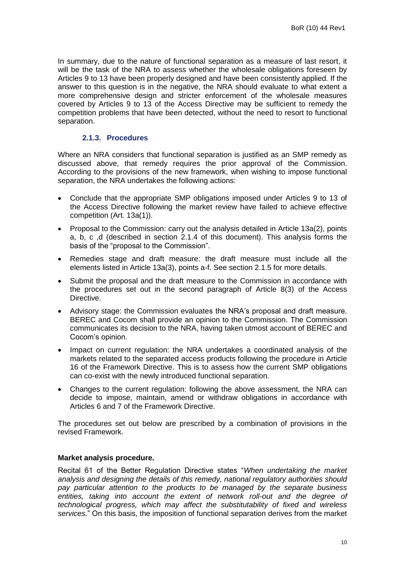In summary, due to the nature of functional separation as a measure of last resort, it will be the task of the NRA to assess whether the wholesale obligations foreseen by Articles 9 to 13 have been properly designed and have been consistently applied. If the answer to this question is in the negative, the NRA should evaluate to what extent a more comprehensive design and stricter enforcement of the wholesale measures covered by Articles 9 to 13 of the Access Directive may be sufficient to remedy the competition problems that have been detected, without the need to resort to functional separation.

# **2.1.3. Procedures**

<span id="page-9-0"></span>Where an NRA considers that functional separation is justified as an SMP remedy as discussed above, that remedy requires the prior approval of the Commission. According to the provisions of the new framework, when wishing to impose functional separation, the NRA undertakes the following actions:

- Conclude that the appropriate SMP obligations imposed under Articles 9 to 13 of the Access Directive following the market review have failed to achieve effective competition (Art. 13a(1)).
- Proposal to the Commission: carry out the analysis detailed in Article 13a(2), points a, b, c ,d (described in section [2.1.4](#page-11-0) of this document). This analysis forms the basis of the "proposal to the Commission".
- Remedies stage and draft measure: the draft measure must include all the elements listed in Article 13a(3), points a-f. See section [2.1.5](#page-16-0) for more details.
- Submit the proposal and the draft measure to the Commission in accordance with the procedures set out in the second paragraph of Article 8(3) of the Access Directive.
- Advisory stage: the Commission evaluates the NRA"s proposal and draft measure. BEREC and Cocom shall provide an opinion to the Commission. The Commission communicates its decision to the NRA, having taken utmost account of BEREC and Cocom"s opinion.
- Impact on current regulation: the NRA undertakes a coordinated analysis of the markets related to the separated access products following the procedure in Article 16 of the Framework Directive. This is to assess how the current SMP obligations can co-exist with the newly introduced functional separation.
- Changes to the current regulation: following the above assessment, the NRA can decide to impose, maintain, amend or withdraw obligations in accordance with Articles 6 and 7 of the Framework Directive.

The procedures set out below are prescribed by a combination of provisions in the revised Framework.

## **Market analysis procedure.**

Recital 61 of the Better Regulation Directive states "*When undertaking the market analysis and designing the details of this remedy, national regulatory authorities should pay particular attention to the products to be managed by the separate business*  entities, taking into account the extent of network roll-out and the degree of *technological progress, which may affect the substitutability of fixed and wireless services.*" On this basis, the imposition of functional separation derives from the market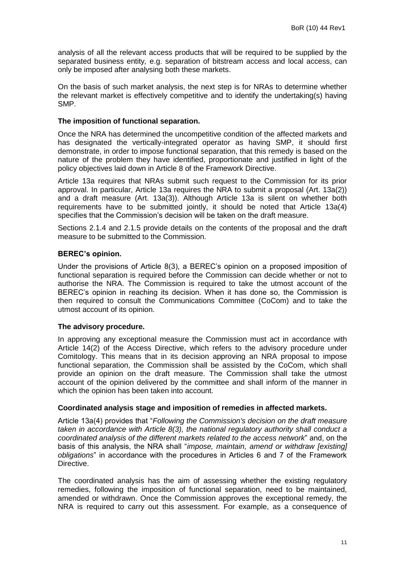analysis of all the relevant access products that will be required to be supplied by the separated business entity*,* e.g. separation of bitstream access and local access, can only be imposed after analysing both these markets.

On the basis of such market analysis, the next step is for NRAs to determine whether the relevant market is effectively competitive and to identify the undertaking(s) having SMP.

## **The imposition of functional separation.**

Once the NRA has determined the uncompetitive condition of the affected markets and has designated the vertically-integrated operator as having SMP, it should first demonstrate, in order to impose functional separation, that this remedy is based on the nature of the problem they have identified, proportionate and justified in light of the policy objectives laid down in Article 8 of the Framework Directive.

Article 13a requires that NRAs submit such request to the Commission for its prior approval. In particular, Article 13a requires the NRA to submit a proposal (Art. 13a(2)) and a draft measure (Art. 13a(3)). Although Article 13a is silent on whether both requirements have to be submitted jointly, it should be noted that Article 13a(4) specifies that the Commission"s decision will be taken on the draft measure.

Sections [2.1.4](#page-11-0) and [2.1.5](#page-16-0) provide details on the contents of the proposal and the draft measure to be submitted to the Commission.

## **BEREC's opinion.**

Under the provisions of Article 8(3), a BEREC"s opinion on a proposed imposition of functional separation is required before the Commission can decide whether or not to authorise the NRA. The Commission is required to take the utmost account of the BEREC's opinion in reaching its decision. When it has done so, the Commission is then required to consult the Communications Committee (CoCom) and to take the utmost account of its opinion.

#### **The advisory procedure.**

In approving any exceptional measure the Commission must act in accordance with Article 14(2) of the Access Directive, which refers to the advisory procedure under Comitology. This means that in its decision approving an NRA proposal to impose functional separation, the Commission shall be assisted by the CoCom, which shall provide an opinion on the draft measure. The Commission shall take the utmost account of the opinion delivered by the committee and shall inform of the manner in which the opinion has been taken into account.

#### **Coordinated analysis stage and imposition of remedies in affected markets.**

Article 13a(4) provides that "*Following the Commission's decision on the draft measure taken in accordance with Article 8(3), the national regulatory authority shall conduct a coordinated analysis of the different markets related to the access network*" and, on the basis of this analysis, the NRA shall "*impose, maintain, amend or withdraw [existing] obligations*" in accordance with the procedures in Articles 6 and 7 of the Framework Directive.

The coordinated analysis has the aim of assessing whether the existing regulatory remedies, following the imposition of functional separation, need to be maintained, amended or withdrawn. Once the Commission approves the exceptional remedy, the NRA is required to carry out this assessment. For example, as a consequence of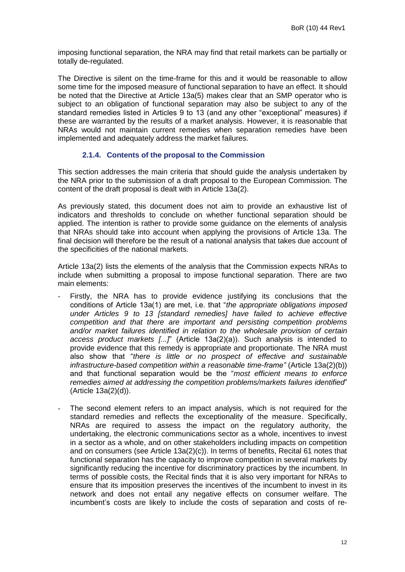imposing functional separation, the NRA may find that retail markets can be partially or totally de-regulated.

The Directive is silent on the time-frame for this and it would be reasonable to allow some time for the imposed measure of functional separation to have an effect. It should be noted that the Directive at Article 13a(5) makes clear that an SMP operator who is subject to an obligation of functional separation may also be subject to any of the standard remedies listed in Articles 9 to 13 (and any other "exceptional" measures) if these are warranted by the results of a market analysis. However, it is reasonable that NRAs would not maintain current remedies when separation remedies have been implemented and adequately address the market failures.

# **2.1.4. Contents of the proposal to the Commission**

<span id="page-11-0"></span>This section addresses the main criteria that should guide the analysis undertaken by the NRA prior to the submission of a draft proposal to the European Commission. The content of the draft proposal is dealt with in Article 13a(2).

As previously stated, this document does not aim to provide an exhaustive list of indicators and thresholds to conclude on whether functional separation should be applied. The intention is rather to provide some guidance on the elements of analysis that NRAs should take into account when applying the provisions of Article 13a. The final decision will therefore be the result of a national analysis that takes due account of the specificities of the national markets.

Article 13a(2) lists the elements of the analysis that the Commission expects NRAs to include when submitting a proposal to impose functional separation. There are two main elements:

- Firstly, the NRA has to provide evidence justifying its conclusions that the conditions of Article 13a(1) are met, i.e. that "*the appropriate obligations imposed under Articles 9 to 13 [standard remedies] have failed to achieve effective competition and that there are important and persisting competition problems and/or market failures identified in relation to the wholesale provision of certain access product markets [...]*" (Article 13a(2)(a)). Such analysis is intended to provide evidence that this remedy is appropriate and proportionate. The NRA must also show that "*there is little or no prospect of effective and sustainable infrastructure-based competition within a reasonable time-frame"* (Article 13a(2)(b)) and that functional separation would be the "*most efficient means to enforce remedies aimed at addressing the competition problems/markets failures identified*" (Article 13a(2)(d)).
- The second element refers to an impact analysis, which is not required for the standard remedies and reflects the exceptionality of the measure. Specifically, NRAs are required to assess the impact on the regulatory authority, the undertaking, the electronic communications sector as a whole, incentives to invest in a sector as a whole, and on other stakeholders including impacts on competition and on consumers (see Article 13a(2)(c)). In terms of benefits, Recital 61 notes that functional separation has the capacity to improve competition in several markets by significantly reducing the incentive for discriminatory practices by the incumbent. In terms of possible costs, the Recital finds that it is also very important for NRAs to ensure that its imposition preserves the incentives of the incumbent to invest in its network and does not entail any negative effects on consumer welfare. The incumbent"s costs are likely to include the costs of separation and costs of re-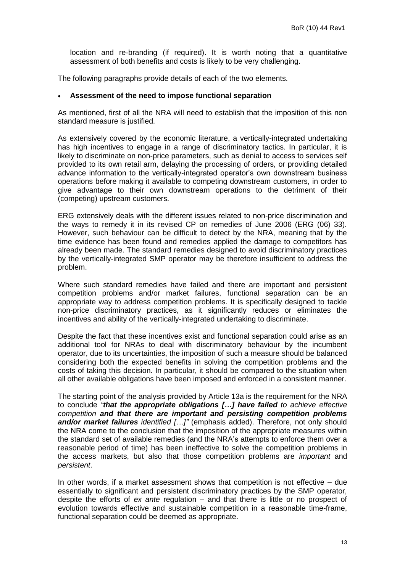location and re-branding (if required). It is worth noting that a quantitative assessment of both benefits and costs is likely to be very challenging.

The following paragraphs provide details of each of the two elements.

#### **Assessment of the need to impose functional separation**

As mentioned, first of all the NRA will need to establish that the imposition of this non standard measure is justified.

As extensively covered by the economic literature, a vertically-integrated undertaking has high incentives to engage in a range of discriminatory tactics. In particular, it is likely to discriminate on non-price parameters, such as denial to access to services self provided to its own retail arm, delaying the processing of orders, or providing detailed advance information to the vertically-integrated operator's own downstream business operations before making it available to competing downstream customers, in order to give advantage to their own downstream operations to the detriment of their (competing) upstream customers.

ERG extensively deals with the different issues related to non-price discrimination and the ways to remedy it in its revised CP on remedies of June 2006 (ERG (06) 33). However, such behaviour can be difficult to detect by the NRA, meaning that by the time evidence has been found and remedies applied the damage to competitors has already been made. The standard remedies designed to avoid discriminatory practices by the vertically-integrated SMP operator may be therefore insufficient to address the problem.

Where such standard remedies have failed and there are important and persistent competition problems and/or market failures, functional separation can be an appropriate way to address competition problems. It is specifically designed to tackle non-price discriminatory practices, as it significantly reduces or eliminates the incentives and ability of the vertically-integrated undertaking to discriminate.

Despite the fact that these incentives exist and functional separation could arise as an additional tool for NRAs to deal with discriminatory behaviour by the incumbent operator, due to its uncertainties, the imposition of such a measure should be balanced considering both the expected benefits in solving the competition problems and the costs of taking this decision. In particular, it should be compared to the situation when all other available obligations have been imposed and enforced in a consistent manner.

The starting point of the analysis provided by Article 13a is the requirement for the NRA to conclude *"that the appropriate obligations […] have failed to achieve effective competition and that there are important and persisting competition problems and/or market failures identified […]"* (emphasis added). Therefore, not only should the NRA come to the conclusion that the imposition of the appropriate measures within the standard set of available remedies (and the NRA"s attempts to enforce them over a reasonable period of time) has been ineffective to solve the competition problems in the access markets, but also that those competition problems are *important* and *persistent*.

In other words, if a market assessment shows that competition is not effective – due essentially to significant and persistent discriminatory practices by the SMP operator, despite the efforts of *ex ante* regulation – and that there is little or no prospect of evolution towards effective and sustainable competition in a reasonable time-frame, functional separation could be deemed as appropriate.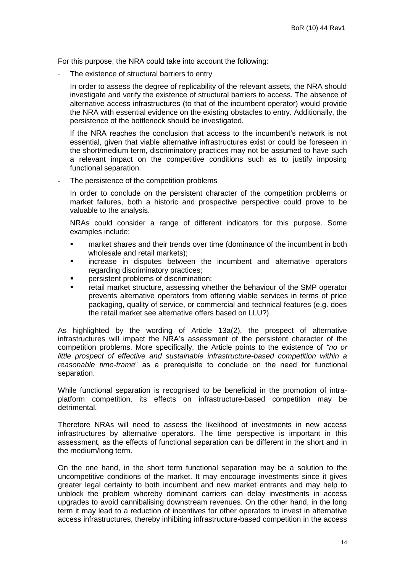For this purpose, the NRA could take into account the following:

The existence of structural barriers to entry

In order to assess the degree of replicability of the relevant assets, the NRA should investigate and verify the existence of structural barriers to access. The absence of alternative access infrastructures (to that of the incumbent operator) would provide the NRA with essential evidence on the existing obstacles to entry. Additionally, the persistence of the bottleneck should be investigated.

If the NRA reaches the conclusion that access to the incumbent's network is not essential, given that viable alternative infrastructures exist or could be foreseen in the short/medium term, discriminatory practices may not be assumed to have such a relevant impact on the competitive conditions such as to justify imposing functional separation.

The persistence of the competition problems

In order to conclude on the persistent character of the competition problems or market failures, both a historic and prospective perspective could prove to be valuable to the analysis.

NRAs could consider a range of different indicators for this purpose. Some examples include:

- **EXECT** market shares and their trends over time (dominance of the incumbent in both wholesale and retail markets);
- increase in disputes between the incumbent and alternative operators regarding discriminatory practices;
- persistent problems of discrimination;
- retail market structure, assessing whether the behaviour of the SMP operator prevents alternative operators from offering viable services in terms of price packaging, quality of service, or commercial and technical features (e.g. does the retail market see alternative offers based on LLU?).

As highlighted by the wording of Article 13a(2), the prospect of alternative infrastructures will impact the NRA"s assessment of the persistent character of the competition problems. More specifically, the Article points to the existence of *"no or little prospect of effective and sustainable infrastructure-based competition within a reasonable time-frame*" as a prerequisite to conclude on the need for functional separation.

While functional separation is recognised to be beneficial in the promotion of intraplatform competition, its effects on infrastructure-based competition may be detrimental.

Therefore NRAs will need to assess the likelihood of investments in new access infrastructures by alternative operators. The time perspective is important in this assessment, as the effects of functional separation can be different in the short and in the medium/long term.

On the one hand, in the short term functional separation may be a solution to the uncompetitive conditions of the market. It may encourage investments since it gives greater legal certainty to both incumbent and new market entrants and may help to unblock the problem whereby dominant carriers can delay investments in access upgrades to avoid cannibalising downstream revenues. On the other hand, in the long term it may lead to a reduction of incentives for other operators to invest in alternative access infrastructures, thereby inhibiting infrastructure-based competition in the access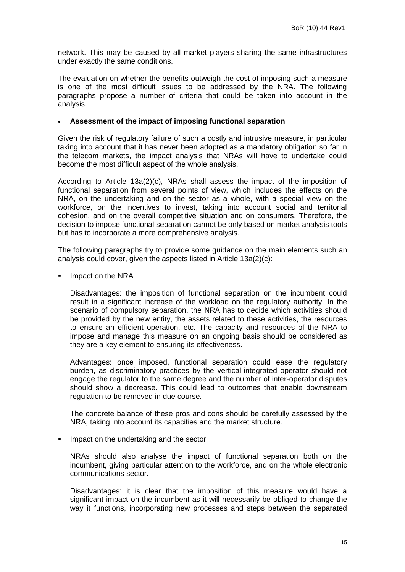network. This may be caused by all market players sharing the same infrastructures under exactly the same conditions.

The evaluation on whether the benefits outweigh the cost of imposing such a measure is one of the most difficult issues to be addressed by the NRA. The following paragraphs propose a number of criteria that could be taken into account in the analysis.

## **Assessment of the impact of imposing functional separation**

Given the risk of regulatory failure of such a costly and intrusive measure, in particular taking into account that it has never been adopted as a mandatory obligation so far in the telecom markets, the impact analysis that NRAs will have to undertake could become the most difficult aspect of the whole analysis.

According to Article 13a(2)(c), NRAs shall assess the impact of the imposition of functional separation from several points of view, which includes the effects on the NRA, on the undertaking and on the sector as a whole, with a special view on the workforce, on the incentives to invest, taking into account social and territorial cohesion, and on the overall competitive situation and on consumers. Therefore, the decision to impose functional separation cannot be only based on market analysis tools but has to incorporate a more comprehensive analysis.

The following paragraphs try to provide some guidance on the main elements such an analysis could cover, given the aspects listed in Article 13a(2)(c):

## Impact on the NRA

Disadvantages: the imposition of functional separation on the incumbent could result in a significant increase of the workload on the regulatory authority. In the scenario of compulsory separation, the NRA has to decide which activities should be provided by the new entity, the assets related to these activities, the resources to ensure an efficient operation, etc. The capacity and resources of the NRA to impose and manage this measure on an ongoing basis should be considered as they are a key element to ensuring its effectiveness.

Advantages: once imposed, functional separation could ease the regulatory burden, as discriminatory practices by the vertical-integrated operator should not engage the regulator to the same degree and the number of inter-operator disputes should show a decrease. This could lead to outcomes that enable downstream regulation to be removed in due course.

The concrete balance of these pros and cons should be carefully assessed by the NRA, taking into account its capacities and the market structure.

#### Impact on the undertaking and the sector

NRAs should also analyse the impact of functional separation both on the incumbent, giving particular attention to the workforce, and on the whole electronic communications sector.

Disadvantages: it is clear that the imposition of this measure would have a significant impact on the incumbent as it will necessarily be obliged to change the way it functions, incorporating new processes and steps between the separated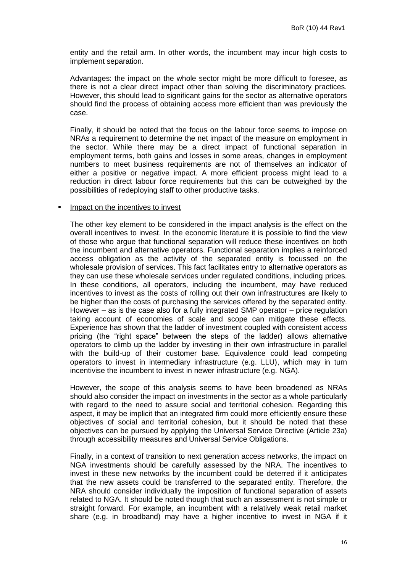entity and the retail arm. In other words, the incumbent may incur high costs to implement separation.

Advantages: the impact on the whole sector might be more difficult to foresee, as there is not a clear direct impact other than solving the discriminatory practices. However, this should lead to significant gains for the sector as alternative operators should find the process of obtaining access more efficient than was previously the case.

Finally, it should be noted that the focus on the labour force seems to impose on NRAs a requirement to determine the net impact of the measure on employment in the sector. While there may be a direct impact of functional separation in employment terms, both gains and losses in some areas, changes in employment numbers to meet business requirements are not of themselves an indicator of either a positive or negative impact. A more efficient process might lead to a reduction in direct labour force requirements but this can be outweighed by the possibilities of redeploying staff to other productive tasks.

#### **IMPACT ON THE INCENT** INVEST

The other key element to be considered in the impact analysis is the effect on the overall incentives to invest. In the economic literature it is possible to find the view of those who argue that functional separation will reduce these incentives on both the incumbent and alternative operators. Functional separation implies a reinforced access obligation as the activity of the separated entity is focussed on the wholesale provision of services. This fact facilitates entry to alternative operators as they can use these wholesale services under regulated conditions, including prices. In these conditions, all operators, including the incumbent, may have reduced incentives to invest as the costs of rolling out their own infrastructures are likely to be higher than the costs of purchasing the services offered by the separated entity. However – as is the case also for a fully integrated SMP operator – price regulation taking account of economies of scale and scope can mitigate these effects. Experience has shown that the ladder of investment coupled with consistent access pricing (the "right space" between the steps of the ladder) allows alternative operators to climb up the ladder by investing in their own infrastructure in parallel with the build-up of their customer base. Equivalence could lead competing operators to invest in intermediary infrastructure (e.g. LLU), which may in turn incentivise the incumbent to invest in newer infrastructure (e.g. NGA).

However, the scope of this analysis seems to have been broadened as NRAs should also consider the impact on investments in the sector as a whole particularly with regard to the need to assure social and territorial cohesion. Regarding this aspect, it may be implicit that an integrated firm could more efficiently ensure these objectives of social and territorial cohesion, but it should be noted that these objectives can be pursued by applying the Universal Service Directive (Article 23a) through accessibility measures and Universal Service Obligations.

Finally, in a context of transition to next generation access networks, the impact on NGA investments should be carefully assessed by the NRA. The incentives to invest in these new networks by the incumbent could be deterred if it anticipates that the new assets could be transferred to the separated entity. Therefore, the NRA should consider individually the imposition of functional separation of assets related to NGA. It should be noted though that such an assessment is not simple or straight forward. For example, an incumbent with a relatively weak retail market share (e.g. in broadband) may have a higher incentive to invest in NGA if it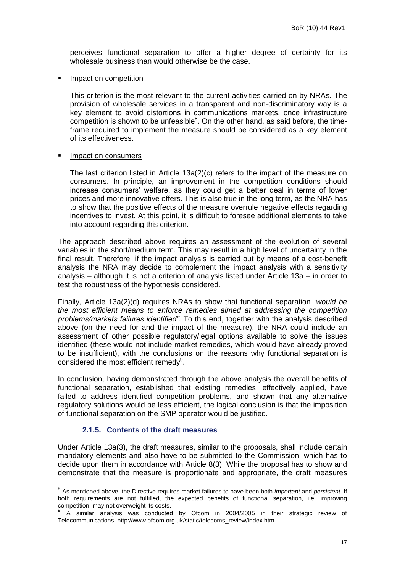perceives functional separation to offer a higher degree of certainty for its wholesale business than would otherwise be the case.

#### Impact on competition

This criterion is the most relevant to the current activities carried on by NRAs. The provision of wholesale services in a transparent and non-discriminatory way is a key element to avoid distortions in communications markets, once infrastructure competition is shown to be unfeasible<sup>8</sup>. On the other hand, as said before, the timeframe required to implement the measure should be considered as a key element of its effectiveness.

#### Impact on consumers

The last criterion listed in Article 13a(2)(c) refers to the impact of the measure on consumers. In principle, an improvement in the competition conditions should increase consumers" welfare, as they could get a better deal in terms of lower prices and more innovative offers. This is also true in the long term, as the NRA has to show that the positive effects of the measure overrule negative effects regarding incentives to invest. At this point, it is difficult to foresee additional elements to take into account regarding this criterion.

The approach described above requires an assessment of the evolution of several variables in the short/medium term. This may result in a high level of uncertainty in the final result. Therefore, if the impact analysis is carried out by means of a cost-benefit analysis the NRA may decide to complement the impact analysis with a sensitivity analysis – although it is not a criterion of analysis listed under Article 13a – in order to test the robustness of the hypothesis considered.

Finally, Article 13a(2)(d) requires NRAs to show that functional separation *"would be the most efficient means to enforce remedies aimed at addressing the competition problems/markets failures identified"*. To this end, together with the analysis described above (on the need for and the impact of the measure), the NRA could include an assessment of other possible regulatory/legal options available to solve the issues identified (these would not include market remedies, which would have already proved to be insufficient), with the conclusions on the reasons why functional separation is considered the most efficient remedy<sup>9</sup>.

In conclusion, having demonstrated through the above analysis the overall benefits of functional separation, established that existing remedies, effectively applied, have failed to address identified competition problems, and shown that any alternative regulatory solutions would be less efficient, the logical conclusion is that the imposition of functional separation on the SMP operator would be justified.

## **2.1.5. Contents of the draft measures**

<span id="page-16-0"></span>Under Article 13a(3), the draft measures, similar to the proposals, shall include certain mandatory elements and also have to be submitted to the Commission, which has to decide upon them in accordance with Article 8(3). While the proposal has to show and demonstrate that the measure is proportionate and appropriate, the draft measures

 8 As mentioned above, the Directive requires market failures to have been both *important* and *persistent*. If both requirements are not fulfilled, the expected benefits of functional separation, i.e. improving competition, may not overweight its costs.

<sup>9</sup> A similar analysis was conducted by Ofcom in 2004/2005 in their strategic review of Telecommunications: http://www.ofcom.org.uk/static/telecoms\_review/index.htm.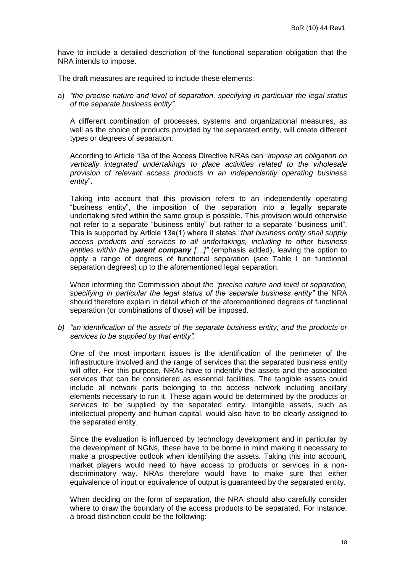have to include a detailed description of the functional separation obligation that the NRA intends to impose.

The draft measures are required to include these elements:

a) *"the precise nature and level of separation, specifying in particular the legal status of the separate business entity".*

A different combination of processes, systems and organizational measures, as well as the choice of products provided by the separated entity, will create different types or degrees of separation.

According to Article 13a of the Access Directive NRAs can "*impose an obligation on vertically integrated undertakings to place activities related to the wholesale provision of relevant access products in an independently operating business entity*".

Taking into account that this provision refers to an independently operating "business entity", the imposition of the separation into a legally separate undertaking sited within the same group is possible. This provision would otherwise not refer to a separate "business entity" but rather to a separate "business unit". This is supported by Article 13a(1) where it states "*that business entity shall supply access products and services to all undertakings, including to other business entities within the parent company […]"* (emphasis added), leaving the option to apply a range of degrees of functional separation (see Table I on functional separation degrees) up to the aforementioned legal separation.

When informing the Commission about *the "precise nature and level of separation, specifying in particular the legal status of the separate business entity"* the NRA should therefore explain in detail which of the aforementioned degrees of functional separation (or combinations of those) will be imposed.

*b) "an identification of the assets of the separate business entity, and the products or services to be supplied by that entity".*

One of the most important issues is the identification of the perimeter of the infrastructure involved and the range of services that the separated business entity will offer. For this purpose, NRAs have to indentify the assets and the associated services that can be considered as essential facilities. The tangible assets could include all network parts belonging to the access network including ancillary elements necessary to run it. These again would be determined by the products or services to be supplied by the separated entity. Intangible assets, such as intellectual property and human capital, would also have to be clearly assigned to the separated entity.

Since the evaluation is influenced by technology development and in particular by the development of NGNs, these have to be borne in mind making it necessary to make a prospective outlook when identifying the assets. Taking this into account, market players would need to have access to products or services in a nondiscriminatory way. NRAs therefore would have to make sure that either equivalence of input or equivalence of output is guaranteed by the separated entity.

When deciding on the form of separation, the NRA should also carefully consider where to draw the boundary of the access products to be separated. For instance, a broad distinction could be the following: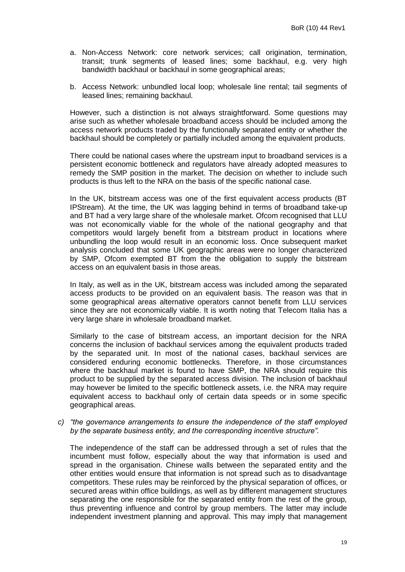- a. Non-Access Network: core network services; call origination, termination, transit; trunk segments of leased lines; some backhaul, e.g. very high bandwidth backhaul or backhaul in some geographical areas;
- b. Access Network: unbundled local loop; wholesale line rental; tail segments of leased lines; remaining backhaul.

However, such a distinction is not always straightforward. Some questions may arise such as whether wholesale broadband access should be included among the access network products traded by the functionally separated entity or whether the backhaul should be completely or partially included among the equivalent products.

There could be national cases where the upstream input to broadband services is a persistent economic bottleneck and regulators have already adopted measures to remedy the SMP position in the market. The decision on whether to include such products is thus left to the NRA on the basis of the specific national case.

In the UK, bitstream access was one of the first equivalent access products (BT IPStream). At the time, the UK was lagging behind in terms of broadband take-up and BT had a very large share of the wholesale market. Ofcom recognised that LLU was not economically viable for the whole of the national geography and that competitors would largely benefit from a bitstream product in locations where unbundling the loop would result in an economic loss. Once subsequent market analysis concluded that some UK geographic areas were no longer characterized by SMP, Ofcom exempted BT from the the obligation to supply the bitstream access on an equivalent basis in those areas.

In Italy, as well as in the UK, bitstream access was included among the separated access products to be provided on an equivalent basis. The reason was that in some geographical areas alternative operators cannot benefit from LLU services since they are not economically viable. It is worth noting that Telecom Italia has a very large share in wholesale broadband market.

Similarly to the case of bitstream access, an important decision for the NRA concerns the inclusion of backhaul services among the equivalent products traded by the separated unit. In most of the national cases, backhaul services are considered enduring economic bottlenecks. Therefore, in those circumstances where the backhaul market is found to have SMP, the NRA should require this product to be supplied by the separated access division. The inclusion of backhaul may however be limited to the specific bottleneck assets, i.e. the NRA may require equivalent access to backhaul only of certain data speeds or in some specific geographical areas.

*c) "the governance arrangements to ensure the independence of the staff employed by the separate business entity, and the corresponding incentive structure".*

The independence of the staff can be addressed through a set of rules that the incumbent must follow, especially about the way that information is used and spread in the organisation. Chinese walls between the separated entity and the other entities would ensure that information is not spread such as to disadvantage competitors. These rules may be reinforced by the physical separation of offices, or secured areas within office buildings, as well as by different management structures separating the one responsible for the separated entity from the rest of the group, thus preventing influence and control by group members. The latter may include independent investment planning and approval. This may imply that management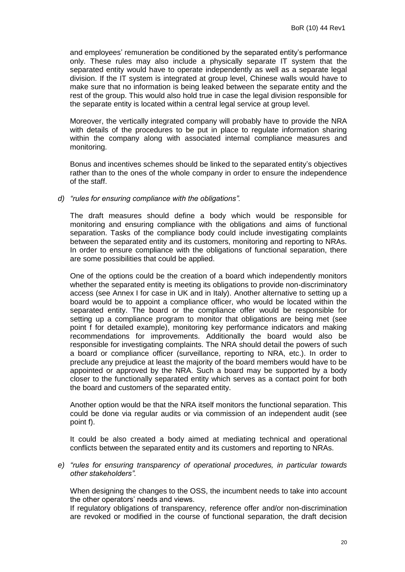and employees' remuneration be conditioned by the separated entity's performance only. These rules may also include a physically separate IT system that the separated entity would have to operate independently as well as a separate legal division. If the IT system is integrated at group level, Chinese walls would have to make sure that no information is being leaked between the separate entity and the rest of the group. This would also hold true in case the legal division responsible for the separate entity is located within a central legal service at group level.

Moreover, the vertically integrated company will probably have to provide the NRA with details of the procedures to be put in place to regulate information sharing within the company along with associated internal compliance measures and monitoring.

Bonus and incentives schemes should be linked to the separated entity"s objectives rather than to the ones of the whole company in order to ensure the independence of the staff.

## *d) "rules for ensuring compliance with the obligations".*

The draft measures should define a body which would be responsible for monitoring and ensuring compliance with the obligations and aims of functional separation. Tasks of the compliance body could include investigating complaints between the separated entity and its customers, monitoring and reporting to NRAs. In order to ensure compliance with the obligations of functional separation, there are some possibilities that could be applied.

One of the options could be the creation of a board which independently monitors whether the separated entity is meeting its obligations to provide non-discriminatory access (see Annex I for case in UK and in Italy). Another alternative to setting up a board would be to appoint a compliance officer, who would be located within the separated entity. The board or the compliance offer would be responsible for setting up a compliance program to monitor that obligations are being met (see point f for detailed example), monitoring key performance indicators and making recommendations for improvements. Additionally the board would also be responsible for investigating complaints. The NRA should detail the powers of such a board or compliance officer (surveillance, reporting to NRA, etc.). In order to preclude any prejudice at least the majority of the board members would have to be appointed or approved by the NRA. Such a board may be supported by a body closer to the functionally separated entity which serves as a contact point for both the board and customers of the separated entity.

Another option would be that the NRA itself monitors the functional separation. This could be done via regular audits or via commission of an independent audit (see point f).

It could be also created a body aimed at mediating technical and operational conflicts between the separated entity and its customers and reporting to NRAs.

*e) "rules for ensuring transparency of operational procedures, in particular towards other stakeholders".*

When designing the changes to the OSS, the incumbent needs to take into account the other operators' needs and views.

If regulatory obligations of transparency, reference offer and/or non-discrimination are revoked or modified in the course of functional separation, the draft decision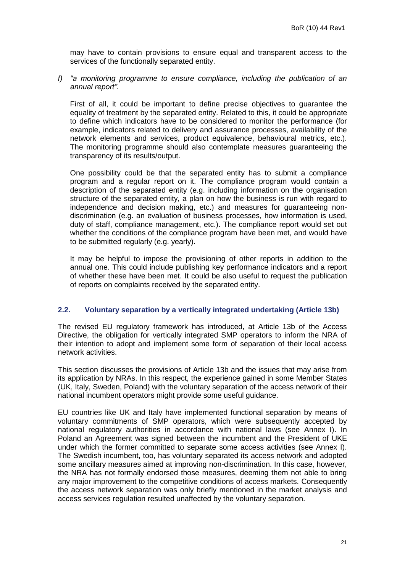may have to contain provisions to ensure equal and transparent access to the services of the functionally separated entity.

*f) "a monitoring programme to ensure compliance, including the publication of an annual report".*

First of all, it could be important to define precise objectives to guarantee the equality of treatment by the separated entity. Related to this, it could be appropriate to define which indicators have to be considered to monitor the performance (for example, indicators related to delivery and assurance processes, availability of the network elements and services, product equivalence, behavioural metrics, etc.). The monitoring programme should also contemplate measures guaranteeing the transparency of its results/output.

One possibility could be that the separated entity has to submit a compliance program and a regular report on it. The compliance program would contain a description of the separated entity (e.g. including information on the organisation structure of the separated entity, a plan on how the business is run with regard to independence and decision making, etc.) and measures for guaranteeing nondiscrimination (e.g. an evaluation of business processes, how information is used, duty of staff, compliance management, etc.). The compliance report would set out whether the conditions of the compliance program have been met, and would have to be submitted regularly (e.g. yearly).

It may be helpful to impose the provisioning of other reports in addition to the annual one. This could include publishing key performance indicators and a report of whether these have been met. It could be also useful to request the publication of reports on complaints received by the separated entity.

## <span id="page-20-0"></span>**2.2. Voluntary separation by a vertically integrated undertaking (Article 13b)**

The revised EU regulatory framework has introduced, at Article 13b of the Access Directive, the obligation for vertically integrated SMP operators to inform the NRA of their intention to adopt and implement some form of separation of their local access network activities.

This section discusses the provisions of Article 13b and the issues that may arise from its application by NRAs. In this respect, the experience gained in some Member States (UK, Italy, Sweden, Poland) with the voluntary separation of the access network of their national incumbent operators might provide some useful guidance.

EU countries like UK and Italy have implemented functional separation by means of voluntary commitments of SMP operators, which were subsequently accepted by national regulatory authorities in accordance with national laws (see Annex I). In Poland an Agreement was signed between the incumbent and the President of UKE under which the former committed to separate some access activities (see Annex I). The Swedish incumbent, too, has voluntary separated its access network and adopted some ancillary measures aimed at improving non-discrimination. In this case, however, the NRA has not formally endorsed those measures, deeming them not able to bring any major improvement to the competitive conditions of access markets. Consequently the access network separation was only briefly mentioned in the market analysis and access services regulation resulted unaffected by the voluntary separation.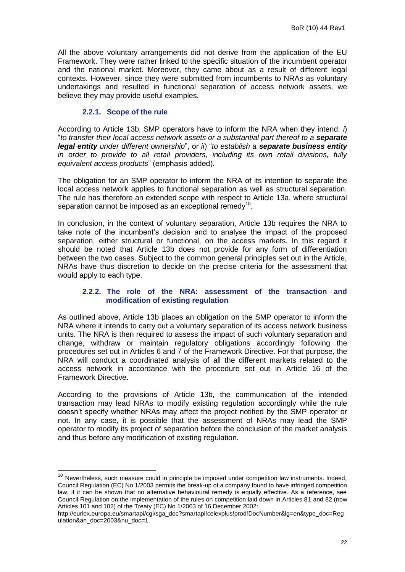All the above voluntary arrangements did not derive from the application of the EU Framework. They were rather linked to the specific situation of the incumbent operator and the national market. Moreover, they came about as a result of different legal contexts. However, since they were submitted from incumbents to NRAs as voluntary undertakings and resulted in functional separation of access network assets, we believe they may provide useful examples.

# **2.2.1. Scope of the rule**

1

<span id="page-21-0"></span>According to Article 13b, SMP operators have to inform the NRA when they intend: *i*) "*to transfer their local access network assets or a substantial part thereof to a separate legal entity under different ownership*", or *ii*) "*to establish a separate business entity in order to provide to all retail providers, including its own retail divisions, fully equivalent access products*" (emphasis added).

The obligation for an SMP operator to inform the NRA of its intention to separate the local access network applies to functional separation as well as structural separation. The rule has therefore an extended scope with respect to Article 13a, where structural separation cannot be imposed as an exceptional remedy<sup>10</sup>.

In conclusion, in the context of voluntary separation, Article 13b requires the NRA to take note of the incumbent"s decision and to analyse the impact of the proposed separation, either structural or functional, on the access markets. In this regard it should be noted that Article 13b does not provide for any form of differentiation between the two cases. Subject to the common general principles set out in the Article, NRAs have thus discretion to decide on the precise criteria for the assessment that would apply to each type.

## <span id="page-21-1"></span>**2.2.2. The role of the NRA: assessment of the transaction and modification of existing regulation**

As outlined above, Article 13b places an obligation on the SMP operator to inform the NRA where it intends to carry out a voluntary separation of its access network business units. The NRA is then required to assess the impact of such voluntary separation and change, withdraw or maintain regulatory obligations accordingly following the procedures set out in Articles 6 and 7 of the Framework Directive. For that purpose, the NRA will conduct a coordinated analysis of all the different markets related to the access network in accordance with the procedure set out in Article 16 of the Framework Directive.

According to the provisions of Article 13b, the communication of the intended transaction may lead NRAs to modify existing regulation accordingly while the rule doesn"t specify whether NRAs may affect the project notified by the SMP operator or not. In any case, it is possible that the assessment of NRAs may lead the SMP operator to modify its project of separation before the conclusion of the market analysis and thus before any modification of existing regulation.

 $10$  Nevertheless, such measure could in principle be imposed under competition law instruments. Indeed, Council Regulation (EC) No 1/2003 permits the break-up of a company found to have infringed competition law, if it can be shown that no alternative behavioural remedy is equally effective. As a reference, see Council Regulation on the implementation of the rules on competition laid down in Articles 81 and 82 (now Articles 101 and 102) of the Treaty (EC) No 1/2003 of 16 December 2002:

http://eurlex.europa.eu/smartapi/cgi/sga\_doc?smartapi!celexplus!prod!DocNumber&lg=en&type\_doc=Reg ulation&an\_doc=2003&nu\_doc=1.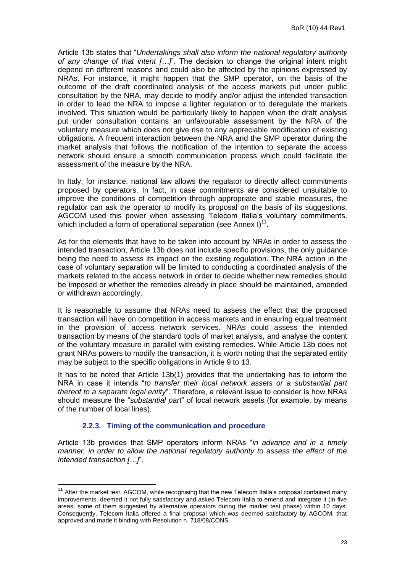Article 13b states that "*Undertakings shall also inform the national regulatory authority of any change of that intent […]*". The decision to change the original intent might depend on different reasons and could also be affected by the opinions expressed by NRAs. For instance, it might happen that the SMP operator, on the basis of the outcome of the draft coordinated analysis of the access markets put under public consultation by the NRA, may decide to modify and/or adjust the intended transaction in order to lead the NRA to impose a lighter regulation or to deregulate the markets involved. This situation would be particularly likely to happen when the draft analysis put under consultation contains an unfavourable assessment by the NRA of the voluntary measure which does not give rise to any appreciable modification of existing obligations. A frequent interaction between the NRA and the SMP operator during the market analysis that follows the notification of the intention to separate the access network should ensure a smooth communication process which could facilitate the assessment of the measure by the NRA.

In Italy, for instance, national law allows the regulator to directly affect commitments proposed by operators. In fact, in case commitments are considered unsuitable to improve the conditions of competition through appropriate and stable measures, the regulator can ask the operator to modify its proposal on the basis of its suggestions. AGCOM used this power when assessing Telecom Italia"s voluntary commitments, which included a form of operational separation (see Annex I) $^{11}$ .

As for the elements that have to be taken into account by NRAs in order to assess the intended transaction, Article 13b does not include specific provisions, the only guidance being the need to assess its impact on the existing regulation. The NRA action in the case of voluntary separation will be limited to conducting a coordinated analysis of the markets related to the access network in order to decide whether new remedies should be imposed or whether the remedies already in place should be maintained, amended or withdrawn accordingly.

It is reasonable to assume that NRAs need to assess the effect that the proposed transaction will have on competition in access markets and in ensuring equal treatment in the provision of access network services. NRAs could assess the intended transaction by means of the standard tools of market analysis, and analyse the content of the voluntary measure in parallel with existing remedies. While Article 13b does not grant NRAs powers to modify the transaction, it is worth noting that the separated entity may be subject to the specific obligations in Article 9 to 13.

It has to be noted that Article 13b(1) provides that the undertaking has to inform the NRA in case it intends "*to transfer their local network assets or a substantial part thereof to a separate legal entity*". Therefore, a relevant issue to consider is how NRAs should measure the "*substantial part*" of local network assets (for example, by means of the number of local lines).

## **2.2.3. Timing of the communication and procedure**

 $\overline{\phantom{a}}$ 

<span id="page-22-0"></span>Article 13b provides that SMP operators inform NRAs "*in advance and in a timely manner, in order to allow the national regulatory authority to assess the effect of the intended transaction […]*".

 $11$  After the market test, AGCOM, while recognising that the new Telecom Italia's proposal contained many improvements, deemed it not fully satisfactory and asked Telecom Italia to emend and integrate it (in five areas, some of them suggested by alternative operators during the market test phase) within 10 days. Consequently, Telecom Italia offered a final proposal which was deemed satisfactory by AGCOM, that approved and made it binding with Resolution n. 718/08/CONS.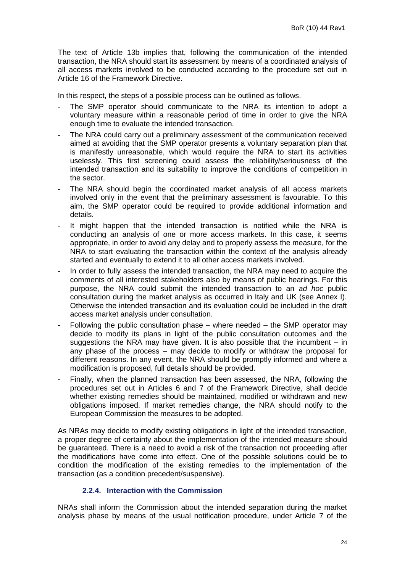The text of Article 13b implies that, following the communication of the intended transaction, the NRA should start its assessment by means of a coordinated analysis of all access markets involved to be conducted according to the procedure set out in Article 16 of the Framework Directive.

In this respect, the steps of a possible process can be outlined as follows.

- The SMP operator should communicate to the NRA its intention to adopt a voluntary measure within a reasonable period of time in order to give the NRA enough time to evaluate the intended transaction.
- The NRA could carry out a preliminary assessment of the communication received aimed at avoiding that the SMP operator presents a voluntary separation plan that is manifestly unreasonable, which would require the NRA to start its activities uselessly. This first screening could assess the reliability/seriousness of the intended transaction and its suitability to improve the conditions of competition in the sector.
- The NRA should begin the coordinated market analysis of all access markets involved only in the event that the preliminary assessment is favourable. To this aim, the SMP operator could be required to provide additional information and details.
- It might happen that the intended transaction is notified while the NRA is conducting an analysis of one or more access markets. In this case, it seems appropriate, in order to avoid any delay and to properly assess the measure, for the NRA to start evaluating the transaction within the context of the analysis already started and eventually to extend it to all other access markets involved.
- In order to fully assess the intended transaction, the NRA may need to acquire the comments of all interested stakeholders also by means of public hearings. For this purpose, the NRA could submit the intended transaction to an *ad hoc* public consultation during the market analysis as occurred in Italy and UK (see Annex I). Otherwise the intended transaction and its evaluation could be included in the draft access market analysis under consultation.
- Following the public consultation phase where needed the SMP operator may decide to modify its plans in light of the public consultation outcomes and the suggestions the NRA may have given. It is also possible that the incumbent – in any phase of the process – may decide to modify or withdraw the proposal for different reasons. In any event, the NRA should be promptly informed and where a modification is proposed, full details should be provided.
- Finally, when the planned transaction has been assessed, the NRA, following the procedures set out in Articles 6 and 7 of the Framework Directive, shall decide whether existing remedies should be maintained, modified or withdrawn and new obligations imposed. If market remedies change, the NRA should notify to the European Commission the measures to be adopted.

As NRAs may decide to modify existing obligations in light of the intended transaction, a proper degree of certainty about the implementation of the intended measure should be guaranteed. There is a need to avoid a risk of the transaction not proceeding after the modifications have come into effect. One of the possible solutions could be to condition the modification of the existing remedies to the implementation of the transaction (as a condition precedent/suspensive).

# **2.2.4. Interaction with the Commission**

<span id="page-23-0"></span>NRAs shall inform the Commission about the intended separation during the market analysis phase by means of the usual notification procedure, under Article 7 of the